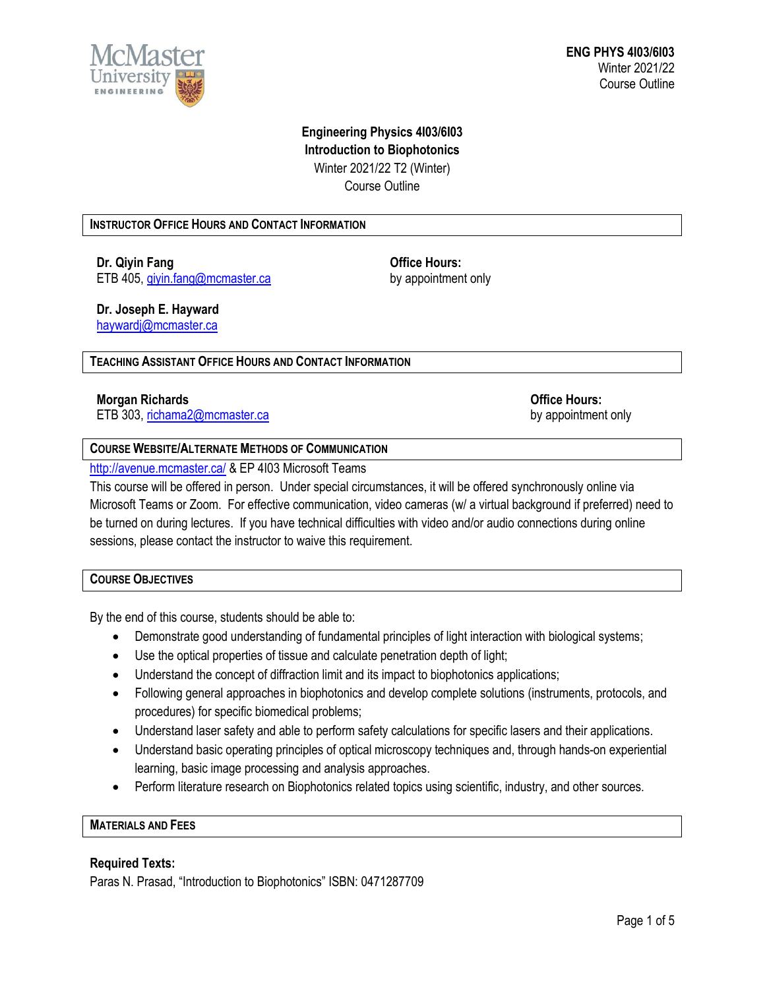

# **Engineering Physics 4I03/6I03 Introduction to Biophotonics** Winter 2021/22 T2 (Winter) Course Outline

### **INSTRUCTOR OFFICE HOURS AND CONTACT INFORMATION**

**Dr. Qiyin Fang Contract Contract Contract Contract Contract Contract Contract Contract Contract Contract Contract Contract Contract Contract Contract Contract Contract Contract Contract Contract Contract Contract Contra** ETB 405[, qiyin.fang@mcmaster.ca](mailto:qiyin.fang@mcmaster.ca)

by appointment only

# **Dr. Joseph E. Hayward**

[haywardj@mcmaster.ca](mailto:haywardj@mcmaster.ca)

### **TEACHING ASSISTANT OFFICE HOURS AND CONTACT INFORMATION**

# **Morgan Richards Office Hours:**

ETB 303[, richama2@mcmaster.ca](mailto:richama2@mcmaster.ca) by appointment only

### **COURSE WEBSITE/ALTERNATE METHODS OF COMMUNICATION**

### <http://avenue.mcmaster.ca/> & EP 4103 Microsoft Teams

This course will be offered in person. Under special circumstances, it will be offered synchronously online via Microsoft Teams or Zoom. For effective communication, video cameras (w/ a virtual background if preferred) need to be turned on during lectures. If you have technical difficulties with video and/or audio connections during online sessions, please contact the instructor to waive this requirement.

### **COURSE OBJECTIVES**

By the end of this course, students should be able to:

- Demonstrate good understanding of fundamental principles of light interaction with biological systems;
- Use the optical properties of tissue and calculate penetration depth of light;
- Understand the concept of diffraction limit and its impact to biophotonics applications;
- Following general approaches in biophotonics and develop complete solutions (instruments, protocols, and procedures) for specific biomedical problems;
- Understand laser safety and able to perform safety calculations for specific lasers and their applications.
- Understand basic operating principles of optical microscopy techniques and, through hands-on experiential learning, basic image processing and analysis approaches.
- Perform literature research on Biophotonics related topics using scientific, industry, and other sources.

# **MATERIALS AND FEES**

### **Required Texts:**

Paras N. Prasad, "Introduction to Biophotonics" ISBN: 0471287709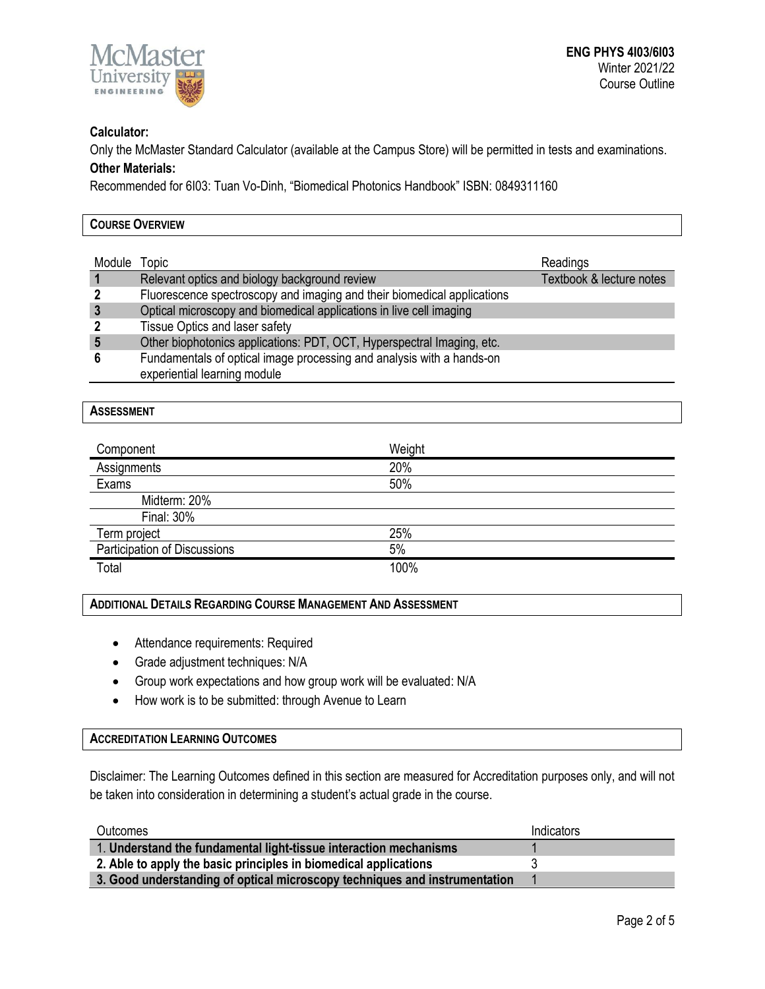

## **Calculator:**

Only the McMaster Standard Calculator (available at the Campus Store) will be permitted in tests and examinations. **Other Materials:**

Recommended for 6I03: Tuan Vo-Dinh, "Biomedical Photonics Handbook" ISBN: 0849311160

| <b>COURSE OVERVIEW</b> |                                                                         |                          |  |  |
|------------------------|-------------------------------------------------------------------------|--------------------------|--|--|
|                        |                                                                         |                          |  |  |
| Module                 | <b>Topic</b>                                                            | Readings                 |  |  |
|                        | Relevant optics and biology background review                           | Textbook & lecture notes |  |  |
|                        | Fluorescence spectroscopy and imaging and their biomedical applications |                          |  |  |
|                        | Optical microscopy and biomedical applications in live cell imaging     |                          |  |  |
|                        | Tissue Optics and laser safety                                          |                          |  |  |
|                        | Other biophotonics applications: PDT, OCT, Hyperspectral Imaging, etc.  |                          |  |  |
|                        | Fundamentals of optical image processing and analysis with a hands-on   |                          |  |  |

experiential learning module

### **ASSESSMENT**

| Component                    | Weight |  |
|------------------------------|--------|--|
| Assignments                  | 20%    |  |
| Exams                        | 50%    |  |
| Midterm: 20%                 |        |  |
| <b>Final: 30%</b>            |        |  |
| Term project                 | 25%    |  |
| Participation of Discussions | 5%     |  |
| Total                        | 100%   |  |

#### **ADDITIONAL DETAILS REGARDING COURSE MANAGEMENT AND ASSESSMENT**

- Attendance requirements: Required
- Grade adjustment techniques: N/A
- Group work expectations and how group work will be evaluated: N/A
- How work is to be submitted: through Avenue to Learn

#### **ACCREDITATION LEARNING OUTCOMES**

Disclaimer: The Learning Outcomes defined in this section are measured for Accreditation purposes only, and will not be taken into consideration in determining a student's actual grade in the course.

| <b>Outcomes</b>                                                            | Indicators |
|----------------------------------------------------------------------------|------------|
| 1. Understand the fundamental light-tissue interaction mechanisms          |            |
| 2. Able to apply the basic principles in biomedical applications           |            |
| 3. Good understanding of optical microscopy techniques and instrumentation |            |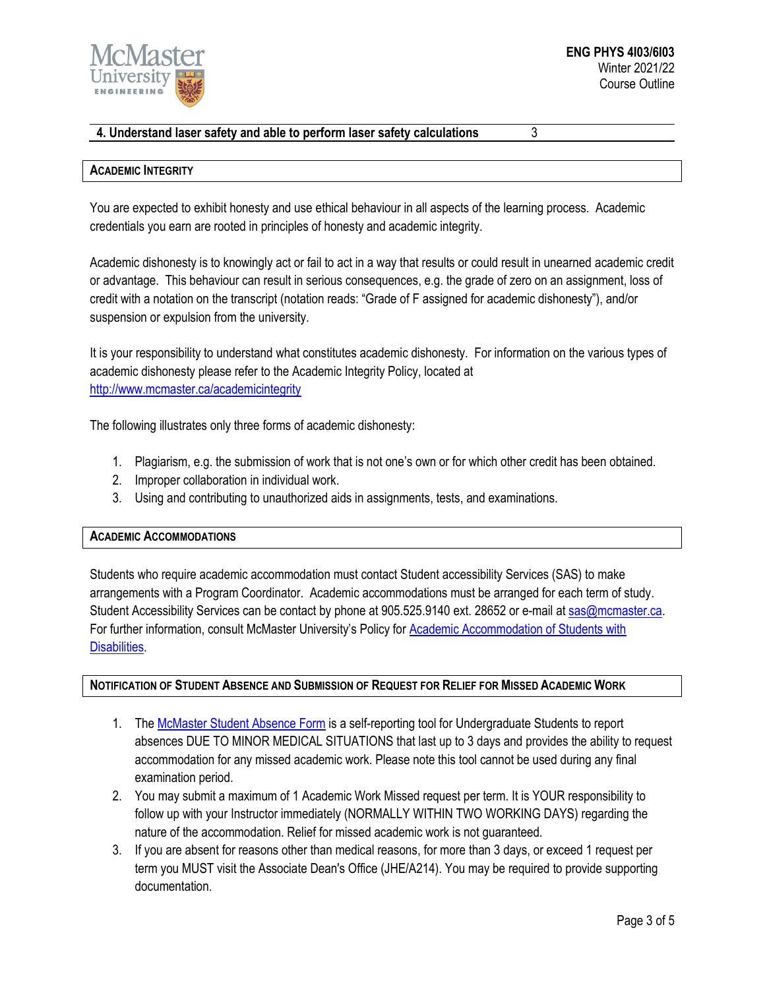

# **4. Understand laser safety and able to perform laser safety calculations** 3

#### **ACADEMIC INTEGRITY**

You are expected to exhibit honesty and use ethical behaviour in all aspects of the learning process. Academic credentials you earn are rooted in principles of honesty and academic integrity.

Academic dishonesty is to knowingly act or fail to act in a way that results or could result in unearned academic credit or advantage. This behaviour can result in serious consequences, e.g. the grade of zero on an assignment, loss of credit with a notation on the transcript (notation reads: "Grade of F assigned for academic dishonesty"), and/or suspension or expulsion from the university.

It is your responsibility to understand what constitutes academic dishonesty. For information on the various types of academic dishonesty please refer to the Academic Integrity Policy, located at <http://www.mcmaster.ca/academicintegrity>

The following illustrates only three forms of academic dishonesty:

- 1. Plagiarism, e.g. the submission of work that is not one's own or for which other credit has been obtained.
- 2. Improper collaboration in individual work.
- 3. Using and contributing to unauthorized aids in assignments, tests, and examinations.

### **ACADEMIC ACCOMMODATIONS**

Students who require academic accommodation must contact Student accessibility Services (SAS) to make arrangements with a Program Coordinator. Academic accommodations must be arranged for each term of study. Student Accessibility Services can be contact by phone at 905.525.9140 ext. 28652 or e-mail at [sas@mcmaster.ca.](mailto:sas@mcmaster.ca) For further information, consult McMaster University's Policy for [Academic Accommodation of Students with](http://www.mcmaster.ca/policy/Students-AcademicStudies/AcademicAccommodation-StudentsWithDisabilities.pdf)  [Disabilities.](http://www.mcmaster.ca/policy/Students-AcademicStudies/AcademicAccommodation-StudentsWithDisabilities.pdf)

### **NOTIFICATION OF STUDENT ABSENCE AND SUBMISSION OF REQUEST FOR RELIEF FOR MISSED ACADEMIC WORK**

- 1. The [McMaster Student Absence Form](http://mcmaster.ca/msaf/) is a self-reporting tool for Undergraduate Students to report absences DUE TO MINOR MEDICAL SITUATIONS that last up to 3 days and provides the ability to request accommodation for any missed academic work. Please note this tool cannot be used during any final examination period.
- 2. You may submit a maximum of 1 Academic Work Missed request per term. It is YOUR responsibility to follow up with your Instructor immediately (NORMALLY WITHIN TWO WORKING DAYS) regarding the nature of the accommodation. Relief for missed academic work is not guaranteed.
- 3. If you are absent for reasons other than medical reasons, for more than 3 days, or exceed 1 request per term you MUST visit the Associate Dean's Office (JHE/A214). You may be required to provide supporting documentation.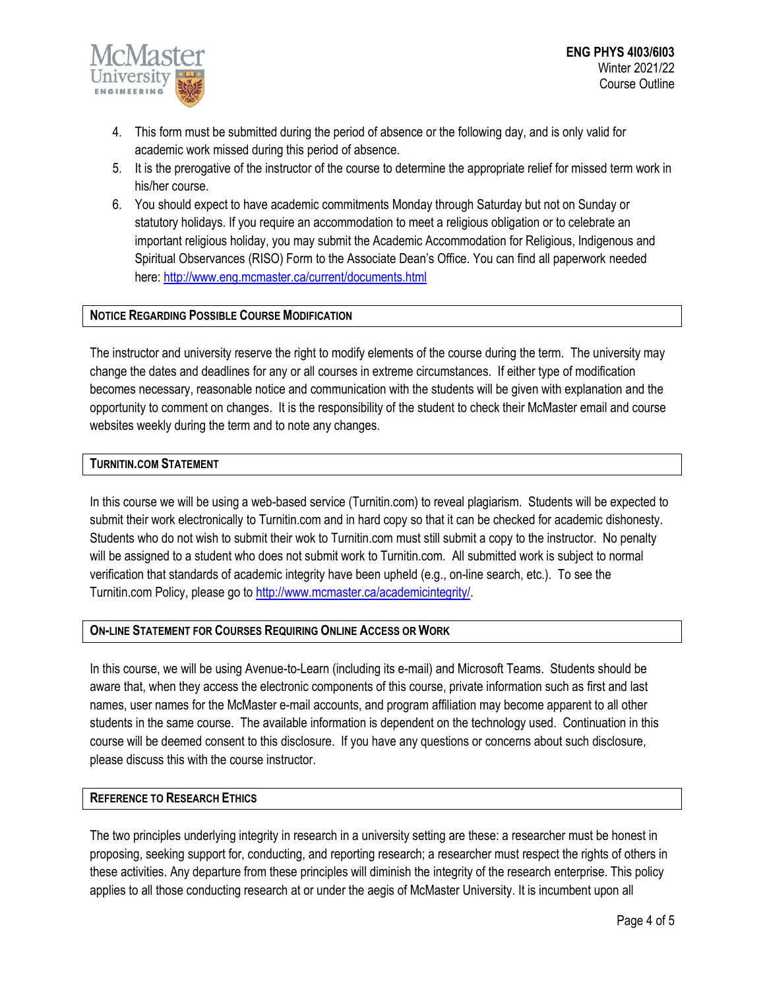

- 4. This form must be submitted during the period of absence or the following day, and is only valid for academic work missed during this period of absence.
- 5. It is the prerogative of the instructor of the course to determine the appropriate relief for missed term work in his/her course.
- 6. You should expect to have academic commitments Monday through Saturday but not on Sunday or statutory holidays. If you require an accommodation to meet a religious obligation or to celebrate an important religious holiday, you may submit the Academic Accommodation for Religious, Indigenous and Spiritual Observances (RISO) Form to the Associate Dean's Office. You can find all paperwork needed here:<http://www.eng.mcmaster.ca/current/documents.html>

### **NOTICE REGARDING POSSIBLE COURSE MODIFICATION**

The instructor and university reserve the right to modify elements of the course during the term. The university may change the dates and deadlines for any or all courses in extreme circumstances. If either type of modification becomes necessary, reasonable notice and communication with the students will be given with explanation and the opportunity to comment on changes. It is the responsibility of the student to check their McMaster email and course websites weekly during the term and to note any changes.

### **TURNITIN.COM STATEMENT**

In this course we will be using a web-based service (Turnitin.com) to reveal plagiarism. Students will be expected to submit their work electronically to Turnitin.com and in hard copy so that it can be checked for academic dishonesty. Students who do not wish to submit their wok to Turnitin.com must still submit a copy to the instructor. No penalty will be assigned to a student who does not submit work to Turnitin.com. All submitted work is subject to normal verification that standards of academic integrity have been upheld (e.g., on-line search, etc.). To see the Turnitin.com Policy, please go to [http://www.mcmaster.ca/academicintegrity/.](http://www.mcmaster.ca/academicintegrity/)

### **ON-LINE STATEMENT FOR COURSES REQUIRING ONLINE ACCESS OR WORK**

In this course, we will be using Avenue-to-Learn (including its e-mail) and Microsoft Teams. Students should be aware that, when they access the electronic components of this course, private information such as first and last names, user names for the McMaster e-mail accounts, and program affiliation may become apparent to all other students in the same course. The available information is dependent on the technology used. Continuation in this course will be deemed consent to this disclosure. If you have any questions or concerns about such disclosure, please discuss this with the course instructor.

### **REFERENCE TO RESEARCH ETHICS**

The two principles underlying integrity in research in a university setting are these: a researcher must be honest in proposing, seeking support for, conducting, and reporting research; a researcher must respect the rights of others in these activities. Any departure from these principles will diminish the integrity of the research enterprise. This policy applies to all those conducting research at or under the aegis of McMaster University. It is incumbent upon all